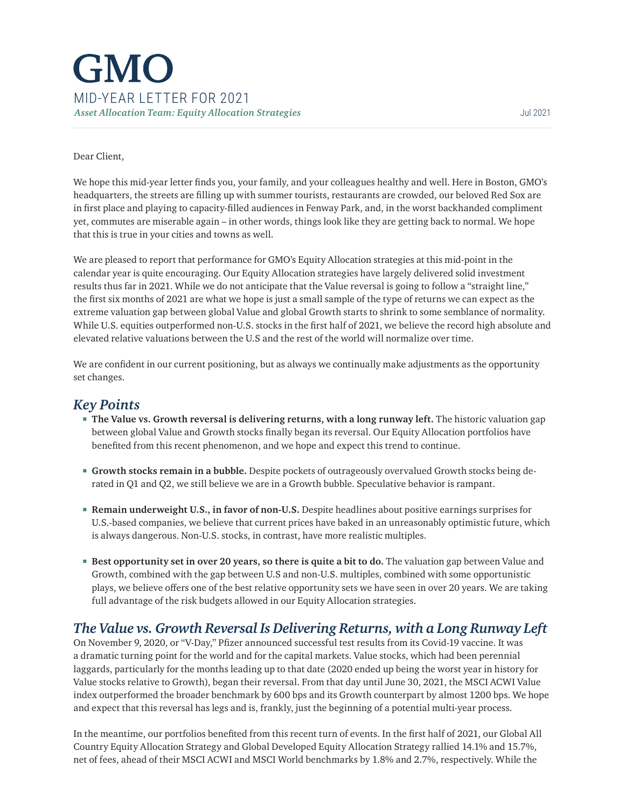# **GMO** MID-YEAR LETTER FOR 2021 *Asset Allocation Team: Equity Allocation Strategies* Jul 2021

#### Dear Client,

We hope this mid-year letter finds you, your family, and your colleagues healthy and well. Here in Boston, GMO's headquarters, the streets are filling up with summer tourists, restaurants are crowded, our beloved Red Sox are in first place and playing to capacity-filled audiences in Fenway Park, and, in the worst backhanded compliment yet, commutes are miserable again – in other words, things look like they are getting back to normal. We hope that this is true in your cities and towns as well.

We are pleased to report that performance for GMO's Equity Allocation strategies at this mid-point in the calendar year is quite encouraging. Our Equity Allocation strategies have largely delivered solid investment results thus far in 2021. While we do not anticipate that the Value reversal is going to follow a "straight line," the first six months of 2021 are what we hope is just a small sample of the type of returns we can expect as the extreme valuation gap between global Value and global Growth starts to shrink to some semblance of normality. While U.S. equities outperformed non-U.S. stocks in the first half of 2021, we believe the record high absolute and elevated relative valuations between the U.S and the rest of the world will normalize over time.

We are confident in our current positioning, but as always we continually make adjustments as the opportunity set changes.

#### *Key Points*

- **The Value vs. Growth reversal is delivering returns, with a long runway left.** The historic valuation gap between global Value and Growth stocks finally began its reversal. Our Equity Allocation portfolios have benefited from this recent phenomenon, and we hope and expect this trend to continue.
- **Growth stocks remain in a bubble.** Despite pockets of outrageously overvalued Growth stocks being derated in Q1 and Q2, we still believe we are in a Growth bubble. Speculative behavior is rampant.
- **Remain underweight U.S., in favor of non-U.S.** Despite headlines about positive earnings surprises for U.S.-based companies, we believe that current prices have baked in an unreasonably optimistic future, which is always dangerous. Non-U.S. stocks, in contrast, have more realistic multiples.
- **Best opportunity set in over 20 years, so there is quite a bit to do.** The valuation gap between Value and Growth, combined with the gap between U.S and non-U.S. multiples, combined with some opportunistic plays, we believe offers one of the best relative opportunity sets we have seen in over 20 years. We are taking full advantage of the risk budgets allowed in our Equity Allocation strategies.

### *The Value vs. Growth Reversal Is Delivering Returns, with a Long Runway Left*

On November 9, 2020, or "V-Day," Pfizer announced successful test results from its Covid-19 vaccine. It was a dramatic turning point for the world and for the capital markets. Value stocks, which had been perennial laggards, particularly for the months leading up to that date (2020 ended up being the worst year in history for Value stocks relative to Growth), began their reversal. From that day until June 30, 2021, the MSCI ACWI Value index outperformed the broader benchmark by 600 bps and its Growth counterpart by almost 1200 bps. We hope and expect that this reversal has legs and is, frankly, just the beginning of a potential multi-year process.

In the meantime, our portfolios benefited from this recent turn of events. In the first half of 2021, our Global All Country Equity Allocation Strategy and Global Developed Equity Allocation Strategy rallied 14.1% and 15.7%, net of fees, ahead of their MSCI ACWI and MSCI World benchmarks by 1.8% and 2.7%, respectively. While the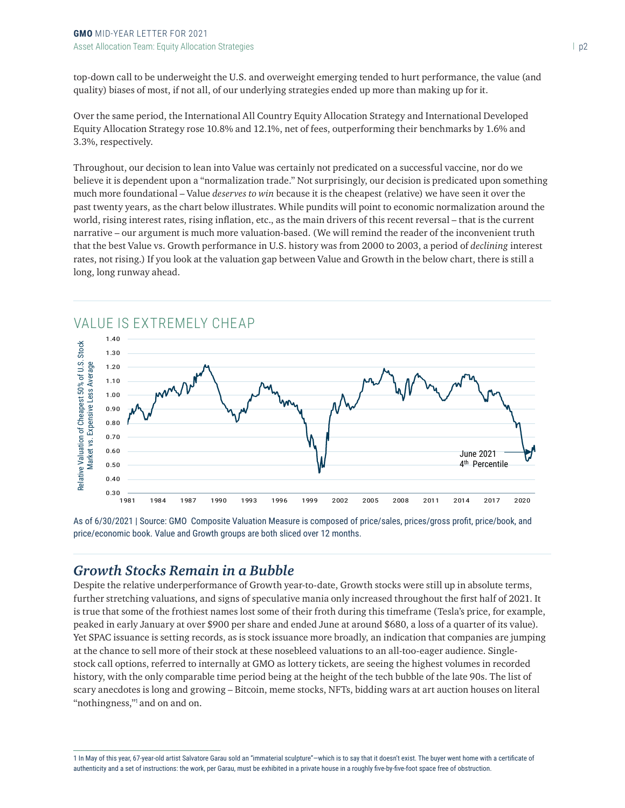top-down call to be underweight the U.S. and overweight emerging tended to hurt performance, the value (and quality) biases of most, if not all, of our underlying strategies ended up more than making up for it.

Over the same period, the International All Country Equity Allocation Strategy and International Developed Equity Allocation Strategy rose 10.8% and 12.1%, net of fees, outperforming their benchmarks by 1.6% and 3.3%, respectively.

Throughout, our decision to lean into Value was certainly not predicated on a successful vaccine, nor do we believe it is dependent upon a "normalization trade." Not surprisingly, our decision is predicated upon something much more foundational – Value *deserves to win* because it is the cheapest (relative) we have seen it over the past twenty years, as the chart below illustrates. While pundits will point to economic normalization around the world, rising interest rates, rising inflation, etc., as the main drivers of this recent reversal – that is the current narrative – our argument is much more valuation-based. (We will remind the reader of the inconvenient truth that the best Value vs. Growth performance in U.S. history was from 2000 to 2003, a period of *declining* interest rates, not rising.) If you look at the valuation gap between Value and Growth in the below chart, there is still a long, long runway ahead.



As of 6/30/2021 | Source: GMO Composite Valuation Measure is composed of price/sales, prices/gross profit, price/book, and price/economic book. Value and Growth groups are both sliced over 12 months.

## *Growth Stocks Remain in a Bubble*

Despite the relative underperformance of Growth year-to-date, Growth stocks were still up in absolute terms, further stretching valuations, and signs of speculative mania only increased throughout the first half of 2021. It is true that some of the frothiest names lost some of their froth during this timeframe (Tesla's price, for example, peaked in early January at over \$900 per share and ended June at around \$680, a loss of a quarter of its value). Yet SPAC issuance is setting records, as is stock issuance more broadly, an indication that companies are jumping at the chance to sell more of their stock at these nosebleed valuations to an all-too-eager audience. Singlestock call options, referred to internally at GMO as lottery tickets, are seeing the highest volumes in recorded history, with the only comparable time period being at the height of the tech bubble of the late 90s. The list of scary anecdotes is long and growing – Bitcoin, meme stocks, NFTs, bidding wars at art auction houses on literal "nothingness," and on and on.

<sup>1</sup> In May of this year, 67-year-old artist Salvatore Garau sold an "immaterial sculpture"—which is to say that it doesn't exist. The buyer went home with a certificate of authenticity and a set of instructions: the work, per Garau, must be exhibited in a private house in a roughly five-by-five-foot space free of obstruction.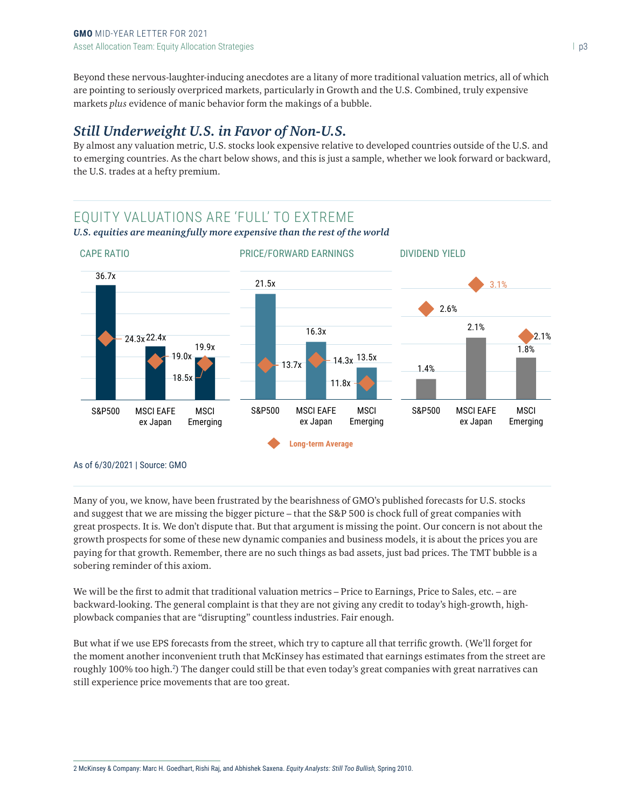Beyond these nervous-laughter-inducing anecdotes are a litany of more traditional valuation metrics, all of which are pointing to seriously overpriced markets, particularly in Growth and the U.S. Combined, truly expensive markets *plus* evidence of manic behavior form the makings of a bubble.

# *Still Underweight U.S. in Favor of Non-U.S.*

By almost any valuation metric, U.S. stocks look expensive relative to developed countries outside of the U.S. and to emerging countries. As the chart below shows, and this is just a sample, whether we look forward or backward, the U.S. trades at a hefty premium.

#### EQUITY VALUATIONS ARE 'FULL' TO EXTREME *U.S. equities are meaningfully more expensive than the rest of the world*



Many of you, we know, have been frustrated by the bearishness of GMO's published forecasts for U.S. stocks and suggest that we are missing the bigger picture – that the S&P 500 is chock full of great companies with great prospects. It is. We don't dispute that. But that argument is missing the point. Our concern is not about the growth prospects for some of these new dynamic companies and business models, it is about the prices you are paying for that growth. Remember, there are no such things as bad assets, just bad prices. The TMT bubble is a sobering reminder of this axiom.

We will be the first to admit that traditional valuation metrics – Price to Earnings, Price to Sales, etc. – are backward-looking. The general complaint is that they are not giving any credit to today's high-growth, highplowback companies that are "disrupting" countless industries. Fair enough.

But what if we use EPS forecasts from the street, which try to capture all that terrific growth. (We'll forget for the moment another inconvenient truth that McKinsey has estimated that earnings estimates from the street are roughly 100% too high.<sup>2</sup> ) The danger could still be that even today's great companies with great narratives can still experience price movements that are too great.

2 McKinsey & Company: Marc H. Goedhart, Rishi Raj, and Abhishek Saxena. *Equity Analysts: Still Too Bullish,* Spring 2010.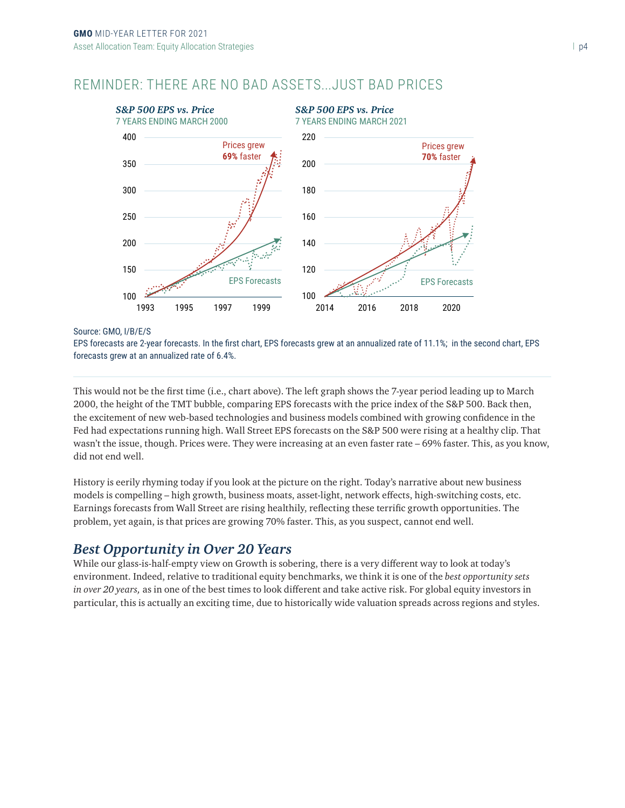# REMINDER: THERE ARE NO BAD ASSETS...JUST BAD PRICES



Source: GMO, I/B/E/S

EPS forecasts are 2-year forecasts. In the first chart, EPS forecasts grew at an annualized rate of 11.1%; in the second chart, EPS forecasts grew at an annualized rate of 6.4%.

This would not be the first time (i.e., chart above). The left graph shows the 7-year period leading up to March 2000, the height of the TMT bubble, comparing EPS forecasts with the price index of the S&P 500. Back then, the excitement of new web-based technologies and business models combined with growing confidence in the Fed had expectations running high. Wall Street EPS forecasts on the S&P 500 were rising at a healthy clip. That wasn't the issue, though. Prices were. They were increasing at an even faster rate – 69% faster. This, as you know, did not end well.

History is eerily rhyming today if you look at the picture on the right. Today's narrative about new business models is compelling – high growth, business moats, asset-light, network effects, high-switching costs, etc. Earnings forecasts from Wall Street are rising healthily, reflecting these terrific growth opportunities. The problem, yet again, is that prices are growing 70% faster. This, as you suspect, cannot end well.

## *Best Opportunity in Over 20 Years*

While our glass-is-half-empty view on Growth is sobering, there is a very different way to look at today's environment. Indeed, relative to traditional equity benchmarks, we think it is one of the *best opportunity sets in over 20 years,* as in one of the best times to look different and take active risk. For global equity investors in particular, this is actually an exciting time, due to historically wide valuation spreads across regions and styles.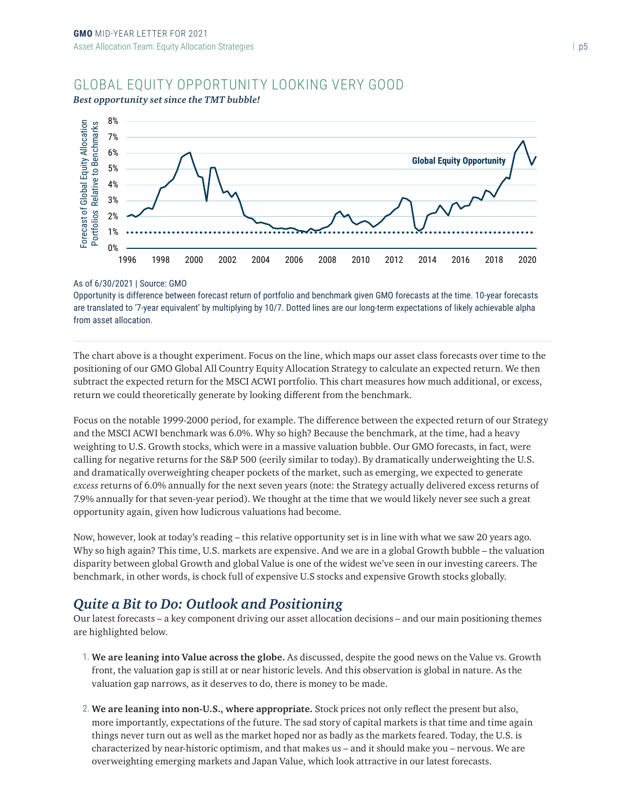## GLOBAL EQUITY OPPORTUNITY LOOKING VERY GOOD



#### *Best opportunity set since the TMT bubble!*

#### As of 6/30/2021 | Source: GMO

Opportunity is difference between forecast return of portfolio and benchmark given GMO forecasts at the time. 10-year forecasts are translated to '7-year equivalent' by multiplying by 10/7. Dotted lines are our long-term expectations of likely achievable alpha from asset allocation.

The chart above is a thought experiment. Focus on the line, which maps our asset class forecasts over time to the positioning of our GMO Global All Country Equity Allocation Strategy to calculate an expected return. We then subtract the expected return for the MSCI ACWI portfolio. This chart measures how much additional, or excess, return we could theoretically generate by looking different from the benchmark.

Focus on the notable 1999-2000 period, for example. The difference between the expected return of our Strategy and the MSCI ACWI benchmark was 6.0%. Why so high? Because the benchmark, at the time, had a heavy weighting to U.S. Growth stocks, which were in a massive valuation bubble. Our GMO forecasts, in fact, were calling for negative returns for the S&P 500 (eerily similar to today). By dramatically underweighting the U.S. and dramatically overweighting cheaper pockets of the market, such as emerging, we expected to generate *excess* returns of 6.0% annually for the next seven years (note: the Strategy actually delivered excess returns of 7.9% annually for that seven-year period). We thought at the time that we would likely never see such a great opportunity again, given how ludicrous valuations had become.

Now, however, look at today's reading – this relative opportunity set is in line with what we saw 20 years ago. Why so high again? This time, U.S. markets are expensive. And we are in a global Growth bubble – the valuation disparity between global Growth and global Value is one of the widest we've seen in our investing careers. The benchmark, in other words, is chock full of expensive U.S stocks and expensive Growth stocks globally.

### *Quite a Bit to Do: Outlook and Positioning*

Our latest forecasts – a key component driving our asset allocation decisions – and our main positioning themes are highlighted below.

- 1. **We are leaning into Value across the globe.** As discussed, despite the good news on the Value vs. Growth front, the valuation gap is still at or near historic levels. And this observation is global in nature. As the valuation gap narrows, as it deserves to do, there is money to be made.
- 2. **We are leaning into non-U.S., where appropriate.** Stock prices not only reflect the present but also, more importantly, expectations of the future. The sad story of capital markets is that time and time again things never turn out as well as the market hoped nor as badly as the markets feared. Today, the U.S. is characterized by near-historic optimism, and that makes us – and it should make you – nervous. We are overweighting emerging markets and Japan Value, which look attractive in our latest forecasts.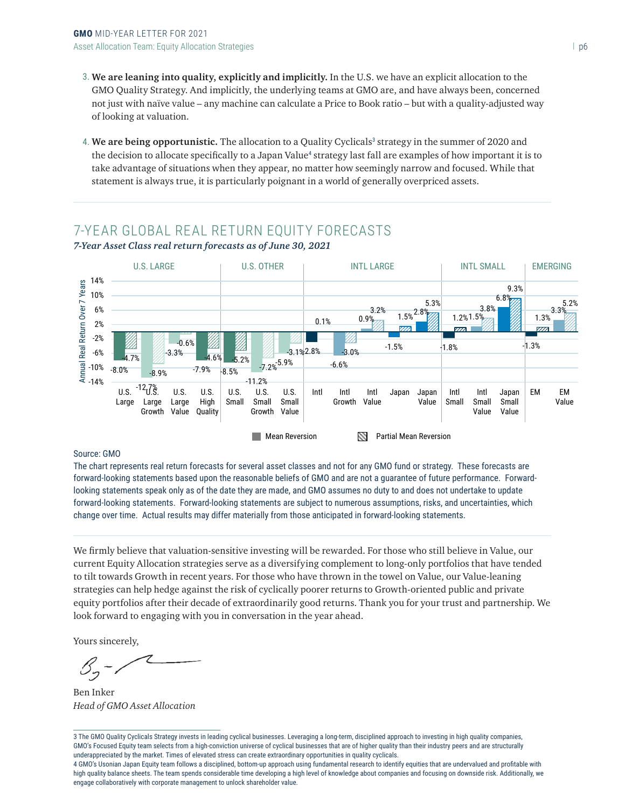- 3. **We are leaning into quality, explicitly and implicitly.** In the U.S. we have an explicit allocation to the GMO Quality Strategy. And implicitly, the underlying teams at GMO are, and have always been, concerned not just with naïve value – any machine can calculate a Price to Book ratio – but with a quality-adjusted way of looking at valuation.
- 4. We are being opportunistic. The allocation to a Quality Cyclicals<sup>3</sup> strategy in the summer of 2020 and the decision to allocate specifically to a Japan Value<sup>4</sup> strategy last fall are examples of how important it is to take advantage of situations when they appear, no matter how seemingly narrow and focused. While that statement is always true, it is particularly poignant in a world of generally overpriced assets.

# 7-YEAR GLOBAL REAL RETURN EQUITY FORECASTS



*7-Year Asset Class real return forecasts as of June 30, 2021*

#### Source: GMO

The chart represents real return forecasts for several asset classes and not for any GMO fund or strategy. These forecasts are forward-looking statements based upon the reasonable beliefs of GMO and are not a guarantee of future performance. Forwardlooking statements speak only as of the date they are made, and GMO assumes no duty to and does not undertake to update forward-looking statements. Forward-looking statements are subject to numerous assumptions, risks, and uncertainties, which change over time. Actual results may differ materially from those anticipated in forward-looking statements.

We firmly believe that valuation-sensitive investing will be rewarded. For those who still believe in Value, our current Equity Allocation strategies serve as a diversifying complement to long-only portfolios that have tended to tilt towards Growth in recent years. For those who have thrown in the towel on Value, our Value-leaning strategies can help hedge against the risk of cyclically poorer returns to Growth-oriented public and private equity portfolios after their decade of extraordinarily good returns. Thank you for your trust and partnership. We look forward to engaging with you in conversation in the year ahead.

Yours sincerely,

 $\mathcal{S}_{\mathcal{I}}$ 

Ben Inker *Head of GMO Asset Allocation*

3 The GMO Quality Cyclicals Strategy invests in leading cyclical businesses. Leveraging a long-term, disciplined approach to investing in high quality companies, GMO's Focused Equity team selects from a high-conviction universe of cyclical businesses that are of higher quality than their industry peers and are structurally underappreciated by the market. Times of elevated stress can create extraordinary opportunities in quality cyclicals.

4 GMO's Usonian Japan Equity team follows a disciplined, bottom-up approach using fundamental research to identify equities that are undervalued and profitable with high quality balance sheets. The team spends considerable time developing a high level of knowledge about companies and focusing on downside risk. Additionally, we engage collaboratively with corporate management to unlock shareholder value.